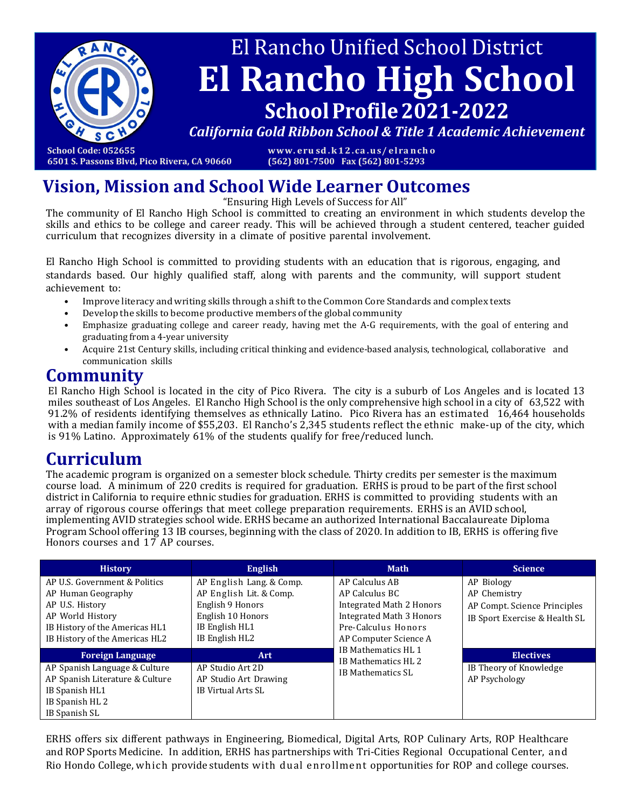

**6501 S. Passons Blvd, Pico Rivera, CA 90660 (562) 801-7500 Fax (562) 801-5293**

# **Vision, Mission and School Wide Learner Outcomes**

"Ensuring High Levels of Success for All"

The community of El Rancho High School is committed to creating an environment in which students develop the skills and ethics to be college and career ready. This will be achieved through a student centered, teacher guided curriculum that recognizes diversity in a climate of positive parental involvement.

El Rancho High School is committed to providing students with an education that is rigorous, engaging, and standards based. Our highly qualified staff, along with parents and the community, will support student achievement to:

- Improve literacy and writing skills through a shift to the Common Core Standards and complex texts
- Develop the skills to become productive members of the global community
- Emphasize graduating college and career ready, having met the A-G requirements, with the goal of entering and graduating from a 4-year university
- Acquire 21st Century skills, including critical thinking and evidence-based analysis, technological, collaborative and communication skills

#### **Community**

El Rancho High School is located in the city of Pico Rivera. The city is a suburb of Los Angeles and is located 13 miles southeast of Los Angeles. El Rancho High School is the only comprehensive high school in a city of 63,522 with 91.2% of residents identifying themselves as ethnically Latino. Pico Rivera has an estimated 16,464 households with a median family income of \$55,203. El Rancho's 2,345 students reflect the ethnic make-up of the city, which is 91% Latino. Approximately 61% of the students qualify for free/reduced lunch.

#### **Curriculum**

The academic program is organized on a semester block schedule. Thirty credits per semester is the maximum course load. A minimum of 220 credits is required for graduation. ERHS is proud to be part of the first school district in California to require ethnic studies for graduation. ERHS is committed to providing students with an array of rigorous course offerings that meet college preparation requirements. ERHS is an AVID school, implementing AVID strategies school wide. ERHS became an authorized International Baccalaureate Diploma Program School offering 13 IB courses, beginning with the class of 2020. In addition to IB, ERHS is offering five Honors courses and 17 AP courses.

| <b>History</b>                                                                                                                                                 | <b>English</b>                                                                                                                               | <b>Math</b>                                                                                                                                                                                                 | <b>Science</b>                                                                              |
|----------------------------------------------------------------------------------------------------------------------------------------------------------------|----------------------------------------------------------------------------------------------------------------------------------------------|-------------------------------------------------------------------------------------------------------------------------------------------------------------------------------------------------------------|---------------------------------------------------------------------------------------------|
| AP U.S. Government & Politics<br>AP Human Geography<br>AP U.S. History<br>AP World History<br>IB History of the Americas HL1<br>IB History of the Americas HL2 | AP English Lang. & Comp.<br>AP English Lit. & Comp.<br>English 9 Honors<br>English 10 Honors<br>IB English HL1<br>IB English HL <sub>2</sub> | AP Calculus AB<br>AP Calculus BC<br>Integrated Math 2 Honors<br>Integrated Math 3 Honors<br>Pre-Calculus Honors<br>AP Computer Science A<br>IB Mathematics HL 1<br>IB Mathematics HL 2<br>IB Mathematics SL | AP Biology<br>AP Chemistry<br>AP Compt. Science Principles<br>IB Sport Exercise & Health SL |
| <b>Foreign Language</b>                                                                                                                                        | <b>Art</b>                                                                                                                                   |                                                                                                                                                                                                             | <b>Electives</b>                                                                            |
| AP Spanish Language & Culture<br>AP Spanish Literature & Culture<br>IB Spanish HL1<br>IB Spanish HL 2<br>IB Spanish SL                                         | AP Studio Art 2D<br>AP Studio Art Drawing<br>IB Virtual Arts SL                                                                              |                                                                                                                                                                                                             | IB Theory of Knowledge<br>AP Psychology                                                     |

ERHS offers six different pathways in Engineering, Biomedical, Digital Arts, ROP Culinary Arts, ROP Healthcare and ROP Sports Medicine. In addition, ERHS has partnerships with Tri-Cities Regional Occupational Center, and Rio Hondo College, which provide students with dual enrollment opportunities for ROP and college courses.